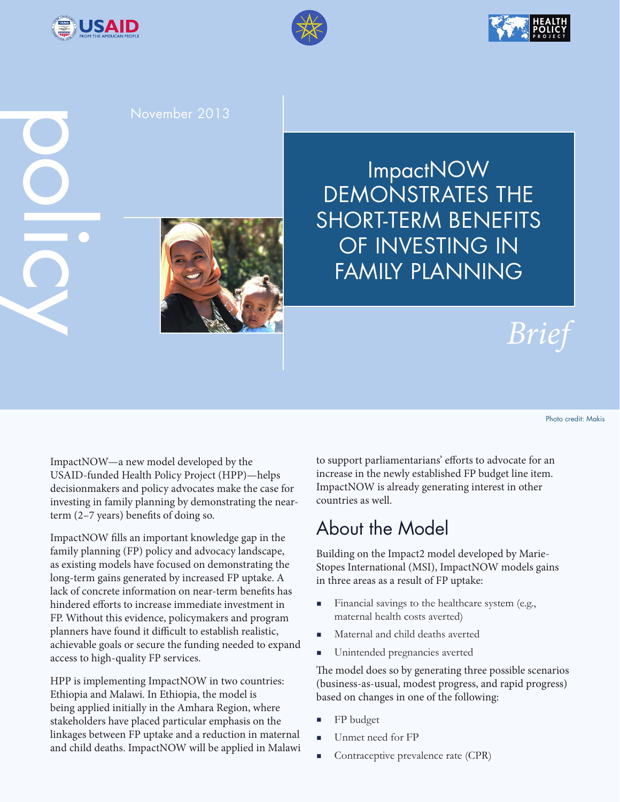





### November 2013



# *Brief*

Photo credit: Makis

ImpactNOW—a new model developed by the USAID-funded Health Policy Project (HPP)—helps decisionmakers and policy advocates make the case for investing in family planning by demonstrating the nearterm (2–7 years) benefits of doing so.

ImpactNOW fills an important knowledge gap in the family planning (FP) policy and advocacy landscape, as existing models have focused on demonstrating the long-term gains generated by increased FP uptake. A lack of concrete information on near-term benefits has hindered efforts to increase immediate investment in FP. Without this evidence, policymakers and program planners have found it difficult to establish realistic, achievable goals or secure the funding needed to expand access to high-quality FP services.

HPP is implementing ImpactNOW in two countries: Ethiopia and Malawi. In Ethiopia, the model is being applied initially in the Amhara Region, where stakeholders have placed particular emphasis on the linkages between FP uptake and a reduction in maternal and child deaths. ImpactNOW will be applied in Malawi to support parliamentarians' efforts to advocate for an increase in the newly established FP budget line item. ImpactNOW is already generating interest in other countries as well.

## About the Model

Building on the Impact2 model developed by Marie-Stopes International (MSI), ImpactNOW models gains in three areas as a result of FP uptake:

- Financial savings to the healthcare system (e.g., maternal health costs averted)
- **Maternal and child deaths averted**
- Unintended pregnancies averted

The model does so by generating three possible scenarios (business-as-usual, modest progress, and rapid progress) based on changes in one of the following:

- FP budget
- Unmet need for FP
- Contraceptive prevalence rate (CPR)